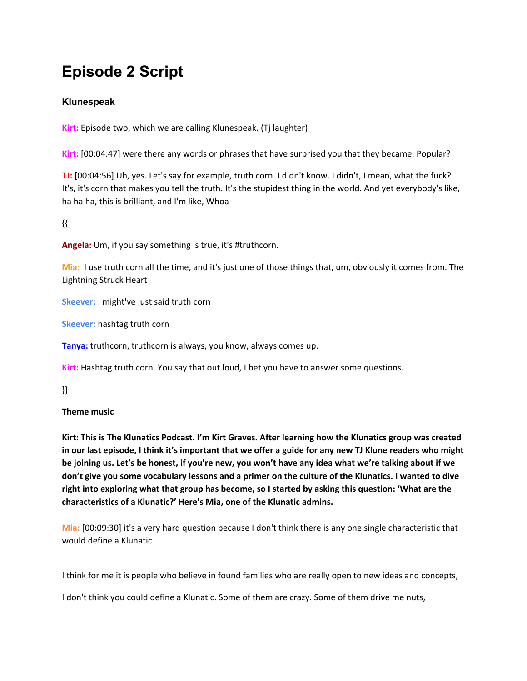# **Episode 2 Script**

# **Klunespeak**

**Kirt:** Episode two, which we are calling Klunespeak. (Tj laughter)

**Kirt:** [00:04:47] were there any words or phrases that have surprised you that they became. Popular?

**TJ:** [00:04:56] Uh, yes. Let's say for example, truth corn. I didn't know. I didn't, I mean, what the fuck? It's, it's corn that makes you tell the truth. It's the stupidest thing in the world. And yet everybody's like, ha ha ha, this is brilliant, and I'm like, Whoa

{{

**Angela:** Um, if you say something is true, it's #truthcorn.

**Mia:** I use truth corn all the time, and it's just one of those things that, um, obviously it comes from. The Lightning Struck Heart

**Skeever:** I might've just said truth corn

**Skeever:** hashtag truth corn

**Tanya:** truthcorn, truthcorn is always, you know, always comes up.

**Kirt:** Hashtag truth corn. You say that out loud, I bet you have to answer some questions.

}}

# **Theme music**

**Kirt: This is The Klunatics Podcast. I'm Kirt Graves. After learning how the Klunatics group was created** in our last episode, I think it's important that we offer a guide for any new TJ Klune readers who might be joining us. Let's be honest, if you're new, you won't have any idea what we're talking about if we don't give you some vocabulary lessons and a primer on the culture of the Klunatics. I wanted to dive right into exploring what that group has become, so I started by asking this question: 'What are the **characteristics of a Klunatic?' Here's Mia, one of the Klunatic admins.**

**Mia:** [00:09:30] it's a very hard question because I don't think there is any one single characteristic that would define a Klunatic

I think for me it is people who believe in found families who are really open to new ideas and concepts,

I don't think you could define a Klunatic. Some of them are crazy. Some of them drive me nuts,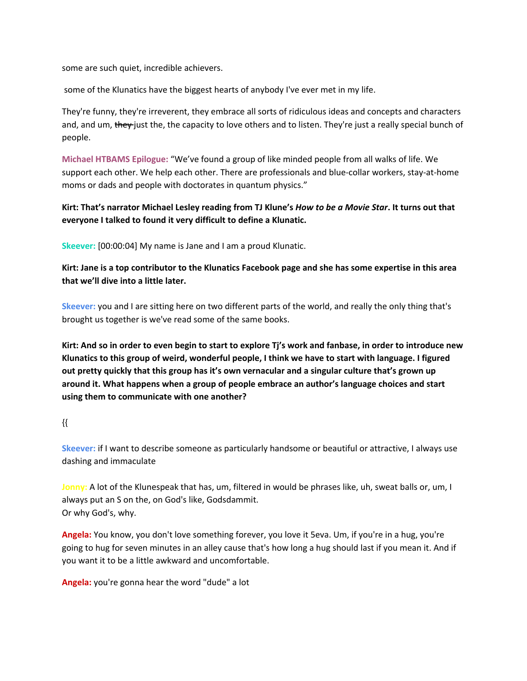some are such quiet, incredible achievers.

some of the Klunatics have the biggest hearts of anybody I've ever met in my life.

They're funny, they're irreverent, they embrace all sorts of ridiculous ideas and concepts and characters and, and um, they just the, the capacity to love others and to listen. They're just a really special bunch of people.

**Michael HTBAMS Epilogue:** "We've found a group of like minded people from all walks of life. We support each other. We help each other. There are professionals and blue-collar workers, stay-at-home moms or dads and people with doctorates in quantum physics."

Kirt: That's narrator Michael Lesley reading from TJ Klune's How to be a Movie Star. It turns out that **everyone I talked to found it very difficult to define a Klunatic.**

**Skeever:** [00:00:04] My name is Jane and I am a proud Klunatic.

Kirt: Jane is a top contributor to the Klunatics Facebook page and she has some expertise in this area **that we'll dive into a little later.**

**Skeever:** you and I are sitting here on two different parts of the world, and really the only thing that's brought us together is we've read some of the same books.

Kirt: And so in order to even begin to start to explore Tj's work and fanbase, in order to introduce new Klunatics to this group of weird, wonderful people, I think we have to start with language. I figured **out pretty quickly that this group has it's own vernacular and a singular culture that's grown up around it. What happens when a group of people embrace an author's language choices and start using them to communicate with one another?**

{{

**Skeever:** if I want to describe someone as particularly handsome or beautiful or attractive, I always use dashing and immaculate

**Jonny:** A lot of the Klunespeak that has, um, filtered in would be phrases like, uh, sweat balls or, um, I always put an S on the, on God's like, Godsdammit. Or why God's, why.

**Angela:** You know, you don't love something forever, you love it 5eva. Um, if you're in a hug, you're going to hug for seven minutes in an alley cause that's how long a hug should last if you mean it. And if you want it to be a little awkward and uncomfortable.

**Angela:** you're gonna hear the word "dude" a lot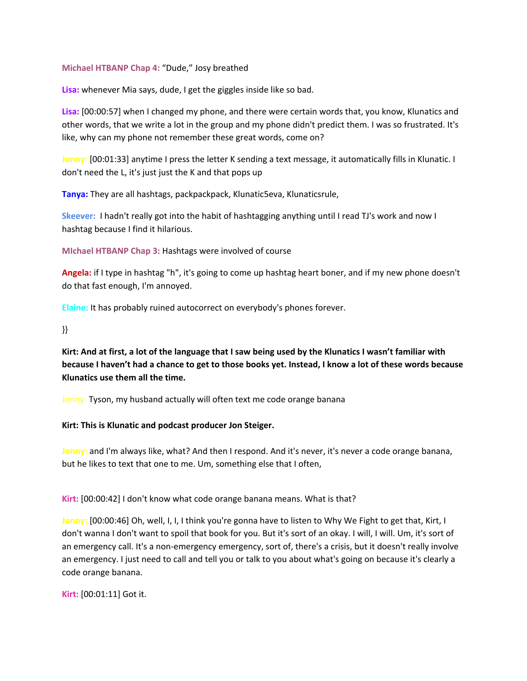#### **Michael HTBANP Chap 4:** "Dude," Josy breathed

**Lisa:** whenever Mia says, dude, I get the giggles inside like so bad.

**Lisa:** [00:00:57] when I changed my phone, and there were certain words that, you know, Klunatics and other words, that we write a lot in the group and my phone didn't predict them. I was so frustrated. It's like, why can my phone not remember these great words, come on?

**Jonny:** [00:01:33] anytime I press the letter K sending a text message, it automatically fills in Klunatic. I don't need the L, it's just just the K and that pops up

**Tanya:** They are all hashtags, packpackpack, Klunatic5eva, Klunaticsrule,

**Skeever:** I hadn't really got into the habit of hashtagging anything until I read TJ's work and now I hashtag because I find it hilarious.

**MIchael HTBANP Chap 3:** Hashtags were involved of course

**Angela:** if I type in hashtag "h", it's going to come up hashtag heart boner, and if my new phone doesn't do that fast enough, I'm annoyed.

**Elaine:** It has probably ruined autocorrect on everybody's phones forever.

}}

Kirt: And at first, a lot of the language that I saw being used by the Klunatics I wasn't familiar with because I haven't had a chance to get to those books yet. Instead, I know a lot of these words because **Klunatics use them all the time.**

Jonny: Tyson, my husband actually will often text me code orange banana

#### **Kirt: This is Klunatic and podcast producer Jon Steiger.**

**Jonny:** and I'm always like, what? And then I respond. And it's never, it's never a code orange banana, but he likes to text that one to me. Um, something else that I often,

**Kirt:** [00:00:42] I don't know what code orange banana means. What is that?

**Jonny:** [00:00:46] Oh, well, I, I, I think you're gonna have to listen to Why We Fight to get that, Kirt, I don't wanna I don't want to spoil that book for you. But it's sort of an okay. I will, I will. Um, it's sort of an emergency call. It's a non-emergency emergency, sort of, there's a crisis, but it doesn't really involve an emergency. I just need to call and tell you or talk to you about what's going on because it's clearly a code orange banana.

**Kirt:** [00:01:11] Got it.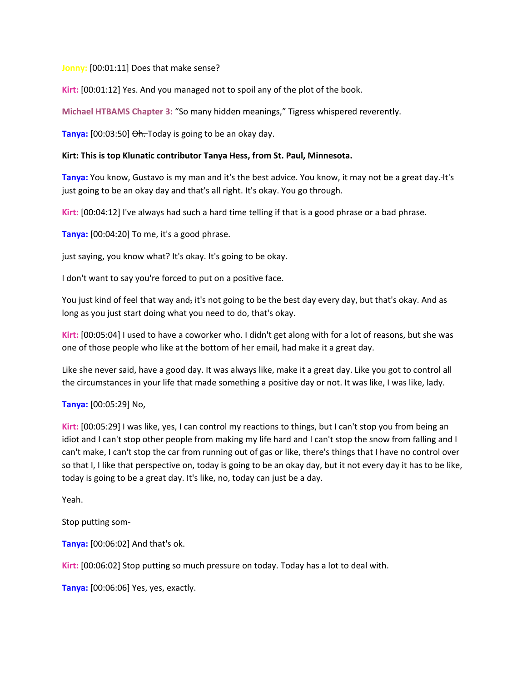**Jonny:** [00:01:11] Does that make sense?

**Kirt:** [00:01:12] Yes. And you managed not to spoil any of the plot of the book.

**Michael HTBAMS Chapter 3:** "So many hidden meanings," Tigress whispered reverently.

**Tanya:** [00:03:50] Oh. Today is going to be an okay day.

#### **Kirt: This is top Klunatic contributor Tanya Hess, from St. Paul, Minnesota.**

**Tanya:** You know, Gustavo is my man and it's the best advice. You know, it may not be a great day. It's just going to be an okay day and that's all right. It's okay. You go through.

**Kirt:** [00:04:12] I've always had such a hard time telling if that is a good phrase or a bad phrase.

**Tanya:** [00:04:20] To me, it's a good phrase.

just saying, you know what? It's okay. It's going to be okay.

I don't want to say you're forced to put on a positive face.

You just kind of feel that way and, it's not going to be the best day every day, but that's okay. And as long as you just start doing what you need to do, that's okay.

**Kirt:** [00:05:04] I used to have a coworker who. I didn't get along with for a lot of reasons, but she was one of those people who like at the bottom of her email, had make it a great day.

Like she never said, have a good day. It was always like, make it a great day. Like you got to control all the circumstances in your life that made something a positive day or not. It was like, I was like, lady.

#### **Tanya:** [00:05:29] No,

**Kirt:** [00:05:29] I was like, yes, I can control my reactions to things, but I can't stop you from being an idiot and I can't stop other people from making my life hard and I can't stop the snow from falling and I can't make, I can't stop the car from running out of gas or like, there's things that I have no control over so that I, I like that perspective on, today is going to be an okay day, but it not every day it has to be like, today is going to be a great day. It's like, no, today can just be a day.

Yeah.

Stop putting som-

**Tanya:** [00:06:02] And that's ok.

**Kirt:** [00:06:02] Stop putting so much pressure on today. Today has a lot to deal with.

**Tanya:** [00:06:06] Yes, yes, exactly.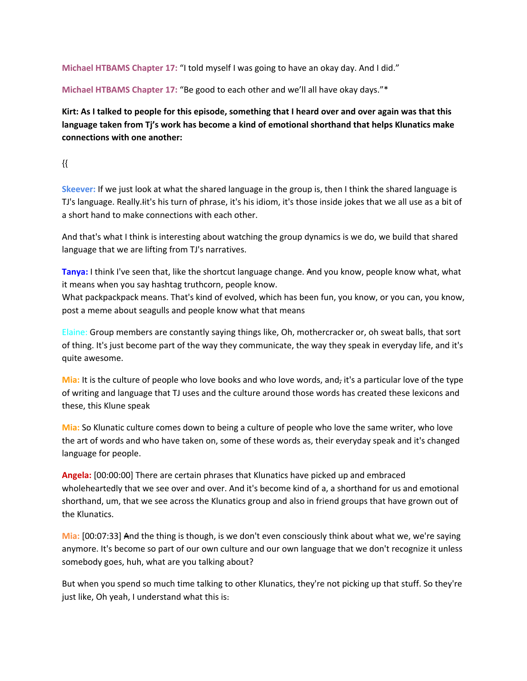**Michael HTBAMS Chapter 17:** "I told myself I was going to have an okay day. And I did."

**Michael HTBAMS Chapter 17:** "Be good to each other and we'll all have okay days."\*

Kirt: As I talked to people for this episode, something that I heard over and over again was that this **language taken from Tj's work has become a kind of emotional shorthand that helps Klunatics make connections with one another:**

{{

**Skeever:** If we just look at what the shared language in the group is, then I think the shared language is TJ's language. Really.Iit's his turn of phrase, it's his idiom, it's those inside jokes that we all use as a bit of a short hand to make connections with each other.

And that's what I think is interesting about watching the group dynamics is we do, we build that shared language that we are lifting from TJ's narratives.

**Tanya:** I think I've seen that, like the shortcut language change. And you know, people know what, what it means when you say hashtag truthcorn, people know.

What packpackpack means. That's kind of evolved, which has been fun, you know, or you can, you know, post a meme about seagulls and people know what that means

Elaine: Group members are constantly saying things like, Oh, mothercracker or, oh sweat balls, that sort of thing. It's just become part of the way they communicate, the way they speak in everyday life, and it's quite awesome.

**Mia:** It is the culture of people who love books and who love words, and, it's a particular love of the type of writing and language that TJ uses and the culture around those words has created these lexicons and these, this Klune speak

**Mia:** So Klunatic culture comes down to being a culture of people who love the same writer, who love the art of words and who have taken on, some of these words as, their everyday speak and it's changed language for people.

**Angela:** [00:00:00] There are certain phrases that Klunatics have picked up and embraced wholeheartedly that we see over and over. And it's become kind of a, a shorthand for us and emotional shorthand, um, that we see across the Klunatics group and also in friend groups that have grown out of the Klunatics.

**Mia:** [00:07:33] And the thing is though, is we don't even consciously think about what we, we're saying anymore. It's become so part of our own culture and our own language that we don't recognize it unless somebody goes, huh, what are you talking about?

But when you spend so much time talking to other Klunatics, they're not picking up that stuff. So they're just like, Oh yeah, I understand what this is.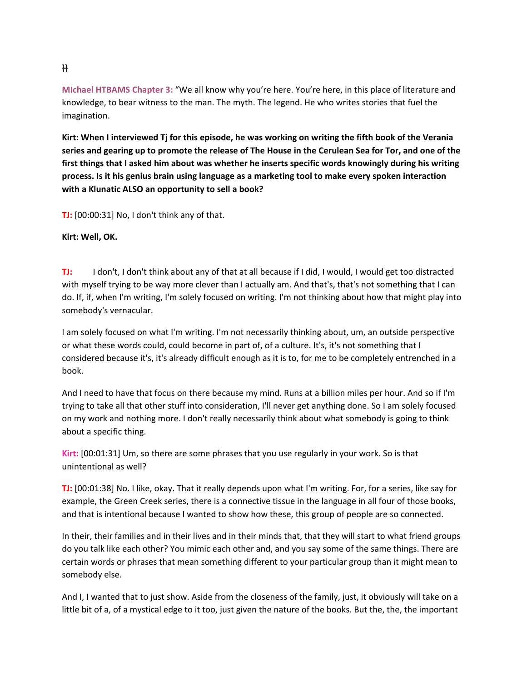**MIchael HTBAMS Chapter 3:** "We all know why you're here. You're here, in this place of literature and knowledge, to bear witness to the man. The myth. The legend. He who writes stories that fuel the imagination.

Kirt: When I interviewed Tj for this episode, he was working on writing the fifth book of the Verania series and gearing up to promote the release of The House in the Cerulean Sea for Tor, and one of the **first things that I asked him about was whether he inserts specific words knowingly during his writing process. Is it his genius brain using language as a marketing tool to make every spoken interaction with a Klunatic ALSO an opportunity to sell a book?**

**TJ:** [00:00:31] No, I don't think any of that.

**Kirt: Well, OK.**

**TJ:** I don't, I don't think about any of that at all because if I did, I would, I would get too distracted with myself trying to be way more clever than I actually am. And that's, that's not something that I can do. If, if, when I'm writing, I'm solely focused on writing. I'm not thinking about how that might play into somebody's vernacular.

I am solely focused on what I'm writing. I'm not necessarily thinking about, um, an outside perspective or what these words could, could become in part of, of a culture. It's, it's not something that I considered because it's, it's already difficult enough as it is to, for me to be completely entrenched in a book.

And I need to have that focus on there because my mind. Runs at a billion miles per hour. And so if I'm trying to take all that other stuff into consideration, I'll never get anything done. So I am solely focused on my work and nothing more. I don't really necessarily think about what somebody is going to think about a specific thing.

**Kirt:** [00:01:31] Um, so there are some phrases that you use regularly in your work. So is that unintentional as well?

**TJ:** [00:01:38] No. I like, okay. That it really depends upon what I'm writing. For, for a series, like say for example, the Green Creek series, there is a connective tissue in the language in all four of those books, and that is intentional because I wanted to show how these, this group of people are so connected.

In their, their families and in their lives and in their minds that, that they will start to what friend groups do you talk like each other? You mimic each other and, and you say some of the same things. There are certain words or phrases that mean something different to your particular group than it might mean to somebody else.

And I, I wanted that to just show. Aside from the closeness of the family, just, it obviously will take on a little bit of a, of a mystical edge to it too, just given the nature of the books. But the, the, the important

}}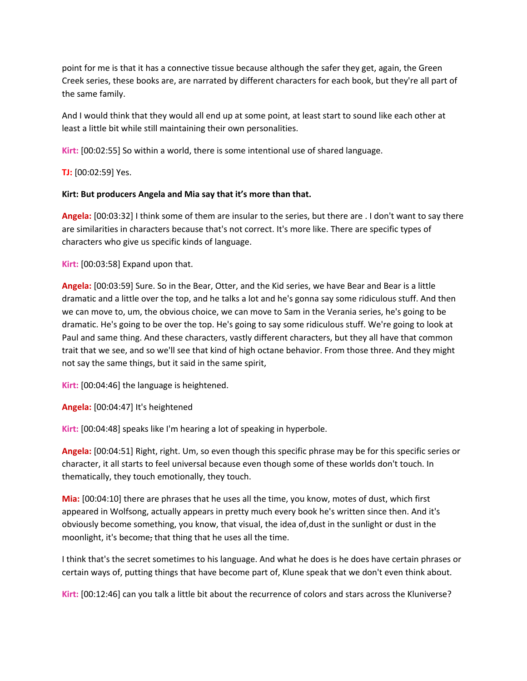point for me is that it has a connective tissue because although the safer they get, again, the Green Creek series, these books are, are narrated by different characters for each book, but they're all part of the same family.

And I would think that they would all end up at some point, at least start to sound like each other at least a little bit while still maintaining their own personalities.

**Kirt:** [00:02:55] So within a world, there is some intentional use of shared language.

**TJ:** [00:02:59] Yes.

#### **Kirt: But producers Angela and Mia say that it's more than that.**

**Angela:** [00:03:32] I think some of them are insular to the series, but there are . I don't want to say there are similarities in characters because that's not correct. It's more like. There are specific types of characters who give us specific kinds of language.

**Kirt:** [00:03:58] Expand upon that.

**Angela:** [00:03:59] Sure. So in the Bear, Otter, and the Kid series, we have Bear and Bear is a little dramatic and a little over the top, and he talks a lot and he's gonna say some ridiculous stuff. And then we can move to, um, the obvious choice, we can move to Sam in the Verania series, he's going to be dramatic. He's going to be over the top. He's going to say some ridiculous stuff. We're going to look at Paul and same thing. And these characters, vastly different characters, but they all have that common trait that we see, and so we'll see that kind of high octane behavior. From those three. And they might not say the same things, but it said in the same spirit,

**Kirt:** [00:04:46] the language is heightened.

**Angela:** [00:04:47] It's heightened

**Kirt:** [00:04:48] speaks like I'm hearing a lot of speaking in hyperbole.

**Angela:** [00:04:51] Right, right. Um, so even though this specific phrase may be for this specific series or character, it all starts to feel universal because even though some of these worlds don't touch. In thematically, they touch emotionally, they touch.

**Mia:** [00:04:10] there are phrases that he uses all the time, you know, motes of dust, which first appeared in Wolfsong, actually appears in pretty much every book he's written since then. And it's obviously become something, you know, that visual, the idea of,dust in the sunlight or dust in the moonlight, it's become, that thing that he uses all the time.

I think that's the secret sometimes to his language. And what he does is he does have certain phrases or certain ways of, putting things that have become part of, Klune speak that we don't even think about.

**Kirt:** [00:12:46] can you talk a little bit about the recurrence of colors and stars across the Kluniverse?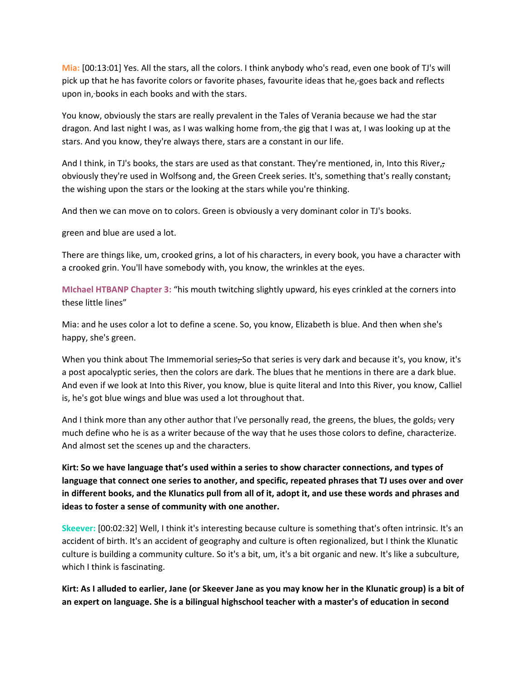**Mia:** [00:13:01] Yes. All the stars, all the colors. I think anybody who's read, even one book of TJ's will pick up that he has favorite colors or favorite phases, favourite ideas that he, goes back and reflects upon in, books in each books and with the stars.

You know, obviously the stars are really prevalent in the Tales of Verania because we had the star dragon. And last night I was, as I was walking home from, the gig that I was at, I was looking up at the stars. And you know, they're always there, stars are a constant in our life.

And I think, in TJ's books, the stars are used as that constant. They're mentioned, in, Into this River, obviously they're used in Wolfsong and, the Green Creek series. It's, something that's really constant, the wishing upon the stars or the looking at the stars while you're thinking.

And then we can move on to colors. Green is obviously a very dominant color in TJ's books.

green and blue are used a lot.

There are things like, um, crooked grins, a lot of his characters, in every book, you have a character with a crooked grin. You'll have somebody with, you know, the wrinkles at the eyes.

**MIchael HTBANP Chapter 3:** "his mouth twitching slightly upward, his eyes crinkled at the corners into these little lines"

Mia: and he uses color a lot to define a scene. So, you know, Elizabeth is blue. And then when she's happy, she's green.

When you think about The Immemorial series, So that series is very dark and because it's, you know, it's a post apocalyptic series, then the colors are dark. The blues that he mentions in there are a dark blue. And even if we look at Into this River, you know, blue is quite literal and Into this River, you know, Calliel is, he's got blue wings and blue was used a lot throughout that.

And I think more than any other author that I've personally read, the greens, the blues, the golds, very much define who he is as a writer because of the way that he uses those colors to define, characterize. And almost set the scenes up and the characters.

**Kirt: So we have language that's used within a series to show character connections, and types of language that connect one series to another, and specific, repeated phrases that TJ uses over and over** in different books, and the Klunatics pull from all of it, adopt it, and use these words and phrases and **ideas to foster a sense of community with one another.**

**Skeever:** [00:02:32] Well, I think it's interesting because culture is something that's often intrinsic. It's an accident of birth. It's an accident of geography and culture is often regionalized, but I think the Klunatic culture is building a community culture. So it's a bit, um, it's a bit organic and new. It's like a subculture, which I think is fascinating.

Kirt: As I alluded to earlier, Jane (or Skeever Jane as you may know her in the Klunatic group) is a bit of **an expert on language. She is a bilingual highschool teacher with a master's of education in second**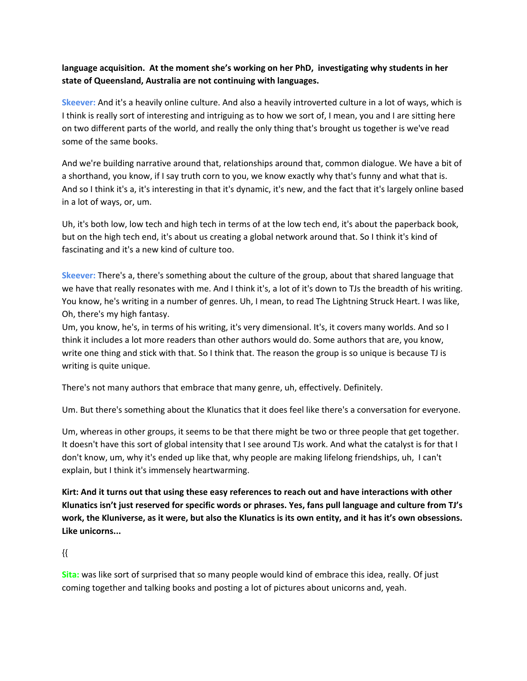# **language acquisition. At the moment she's working on her PhD, investigating why students in her state of Queensland, Australia are not continuing with languages.**

**Skeever:** And it's a heavily online culture. And also a heavily introverted culture in a lot of ways, which is I think is really sort of interesting and intriguing as to how we sort of, I mean, you and I are sitting here on two different parts of the world, and really the only thing that's brought us together is we've read some of the same books.

And we're building narrative around that, relationships around that, common dialogue. We have a bit of a shorthand, you know, if I say truth corn to you, we know exactly why that's funny and what that is. And so I think it's a, it's interesting in that it's dynamic, it's new, and the fact that it's largely online based in a lot of ways, or, um.

Uh, it's both low, low tech and high tech in terms of at the low tech end, it's about the paperback book, but on the high tech end, it's about us creating a global network around that. So I think it's kind of fascinating and it's a new kind of culture too.

**Skeever:** There's a, there's something about the culture of the group, about that shared language that we have that really resonates with me. And I think it's, a lot of it's down to TJs the breadth of his writing. You know, he's writing in a number of genres. Uh, I mean, to read The Lightning Struck Heart. I was like, Oh, there's my high fantasy.

Um, you know, he's, in terms of his writing, it's very dimensional. It's, it covers many worlds. And so I think it includes a lot more readers than other authors would do. Some authors that are, you know, write one thing and stick with that. So I think that. The reason the group is so unique is because TJ is writing is quite unique.

There's not many authors that embrace that many genre, uh, effectively. Definitely.

Um. But there's something about the Klunatics that it does feel like there's a conversation for everyone.

Um, whereas in other groups, it seems to be that there might be two or three people that get together. It doesn't have this sort of global intensity that I see around TJs work. And what the catalyst is for that I don't know, um, why it's ended up like that, why people are making lifelong friendships, uh, I can't explain, but I think it's immensely heartwarming.

Kirt: And it turns out that using these easy references to reach out and have interactions with other Klunatics isn't just reserved for specific words or phrases. Yes, fans pull language and culture from TJ's work, the Kluniverse, as it were, but also the Klunatics is its own entity, and it has it's own obsessions. **Like unicorns...**

# {{

**Sita:** was like sort of surprised that so many people would kind of embrace this idea, really. Of just coming together and talking books and posting a lot of pictures about unicorns and, yeah.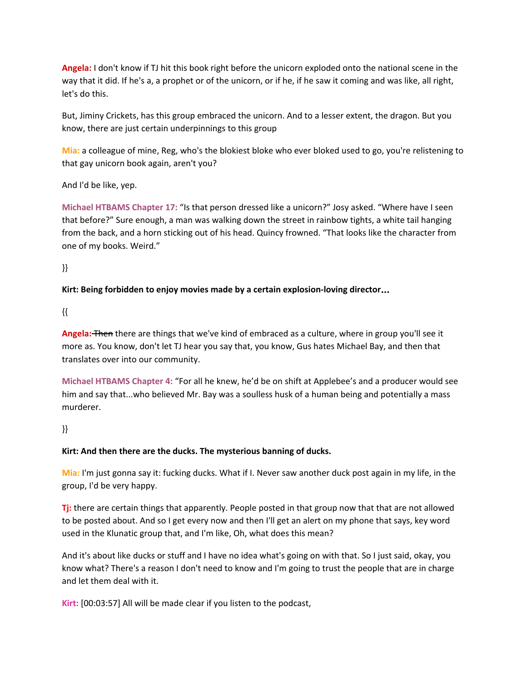**Angela:** I don't know if TJ hit this book right before the unicorn exploded onto the national scene in the way that it did. If he's a, a prophet or of the unicorn, or if he, if he saw it coming and was like, all right, let's do this.

But, Jiminy Crickets, has this group embraced the unicorn. And to a lesser extent, the dragon. But you know, there are just certain underpinnings to this group

**Mia:** a colleague of mine, Reg, who's the blokiest bloke who ever bloked used to go, you're relistening to that gay unicorn book again, aren't you?

And I'd be like, yep.

**Michael HTBAMS Chapter 17:** "Is that person dressed like a unicorn?" Josy asked. "Where have I seen that before?" Sure enough, a man was walking down the street in rainbow tights, a white tail hanging from the back, and a horn sticking out of his head. Quincy frowned. "That looks like the character from one of my books. Weird."

}}

# **Kirt: Being forbidden to enjoy movies made by a certain explosion-loving director**…

{{

**Angela:** Then there are things that we've kind of embraced as a culture, where in group you'll see it more as. You know, don't let TJ hear you say that, you know, Gus hates Michael Bay, and then that translates over into our community.

**Michael HTBAMS Chapter 4:** "For all he knew, he'd be on shift at Applebee's and a producer would see him and say that...who believed Mr. Bay was a soulless husk of a human being and potentially a mass murderer.

# }}

# **Kirt: And then there are the ducks. The mysterious banning of ducks.**

**Mia:** I'm just gonna say it: fucking ducks. What if I. Never saw another duck post again in my life, in the group, I'd be very happy.

**Tj:** there are certain things that apparently. People posted in that group now that that are not allowed to be posted about. And so I get every now and then I'll get an alert on my phone that says, key word used in the Klunatic group that, and I'm like, Oh, what does this mean?

And it's about like ducks or stuff and I have no idea what's going on with that. So I just said, okay, you know what? There's a reason I don't need to know and I'm going to trust the people that are in charge and let them deal with it.

**Kirt:** [00:03:57] All will be made clear if you listen to the podcast,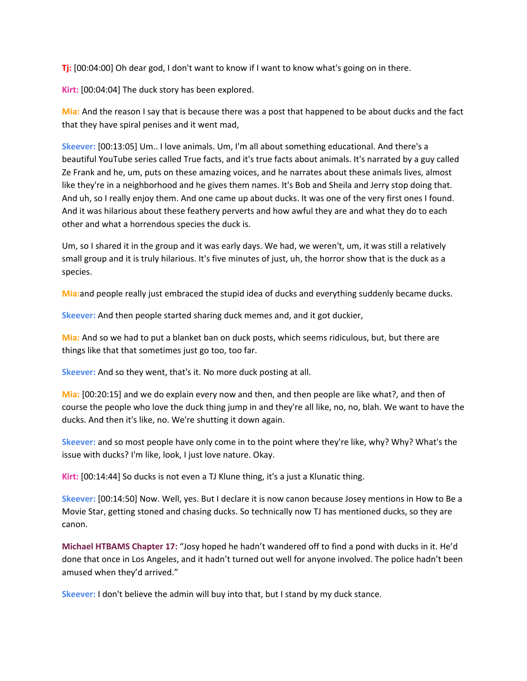**Tj:** [00:04:00] Oh dear god, I don't want to know if I want to know what's going on in there.

**Kirt:** [00:04:04] The duck story has been explored.

**Mia:** And the reason I say that is because there was a post that happened to be about ducks and the fact that they have spiral penises and it went mad,

**Skeever:** [00:13:05] Um.. I love animals. Um, I'm all about something educational. And there's a beautiful YouTube series called True facts, and it's true facts about animals. It's narrated by a guy called Ze Frank and he, um, puts on these amazing voices, and he narrates about these animals lives, almost like they're in a neighborhood and he gives them names. It's Bob and Sheila and Jerry stop doing that. And uh, so I really enjoy them. And one came up about ducks. It was one of the very first ones I found. And it was hilarious about these feathery perverts and how awful they are and what they do to each other and what a horrendous species the duck is.

Um, so I shared it in the group and it was early days. We had, we weren't, um, it was still a relatively small group and it is truly hilarious. It's five minutes of just, uh, the horror show that is the duck as a species.

**Mia:**and people really just embraced the stupid idea of ducks and everything suddenly became ducks.

**Skeever:** And then people started sharing duck memes and, and it got duckier,

**Mia:** And so we had to put a blanket ban on duck posts, which seems ridiculous, but, but there are things like that that sometimes just go too, too far.

**Skeever:** And so they went, that's it. No more duck posting at all.

**Mia:** [00:20:15] and we do explain every now and then, and then people are like what?, and then of course the people who love the duck thing jump in and they're all like, no, no, blah. We want to have the ducks. And then it's like, no. We're shutting it down again.

**Skeever:** and so most people have only come in to the point where they're like, why? Why? What's the issue with ducks? I'm like, look, I just love nature. Okay.

**Kirt:** [00:14:44] So ducks is not even a TJ Klune thing, it's a just a Klunatic thing.

**Skeever:** [00:14:50] Now. Well, yes. But I declare it is now canon because Josey mentions in How to Be a Movie Star, getting stoned and chasing ducks. So technically now TJ has mentioned ducks, so they are canon.

**Michael HTBAMS Chapter 17:** "Josy hoped he hadn't wandered off to find a pond with ducks in it. He'd done that once in Los Angeles, and it hadn't turned out well for anyone involved. The police hadn't been amused when they'd arrived."

**Skeever:** I don't believe the admin will buy into that, but I stand by my duck stance.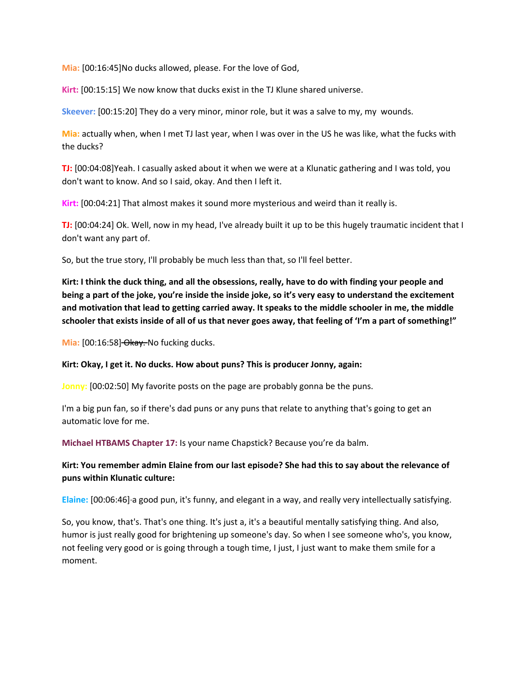**Mia:** [00:16:45]No ducks allowed, please. For the love of God,

**Kirt:** [00:15:15] We now know that ducks exist in the TJ Klune shared universe.

**Skeever:** [00:15:20] They do a very minor, minor role, but it was a salve to my, my wounds.

**Mia:** actually when, when I met TJ last year, when I was over in the US he was like, what the fucks with the ducks?

**TJ:** [00:04:08]Yeah. I casually asked about it when we were at a Klunatic gathering and I was told, you don't want to know. And so I said, okay. And then I left it.

**Kirt:** [00:04:21] That almost makes it sound more mysterious and weird than it really is.

**TJ:** [00:04:24] Ok. Well, now in my head, I've already built it up to be this hugely traumatic incident that I don't want any part of.

So, but the true story, I'll probably be much less than that, so I'll feel better.

Kirt: I think the duck thing, and all the obsessions, really, have to do with finding your people and being a part of the joke, you're inside the inside joke, so it's very easy to understand the excitement and motivation that lead to getting carried away. It speaks to the middle schooler in me, the middle schooler that exists inside of all of us that never goes away, that feeling of 'I'm a part of something!"

Mia: [00:16:58] Okay. No fucking ducks.

#### **Kirt: Okay, I get it. No ducks. How about puns? This is producer Jonny, again:**

**Jonny:** [00:02:50] My favorite posts on the page are probably gonna be the puns.

I'm a big pun fan, so if there's dad puns or any puns that relate to anything that's going to get an automatic love for me.

**Michael HTBAMS Chapter 17:** Is your name Chapstick? Because you're da balm.

# **Kirt: You remember admin Elaine from our last episode? She had this to say about the relevance of puns within Klunatic culture:**

**Elaine:** [00:06:46] a good pun, it's funny, and elegant in a way, and really very intellectually satisfying.

So, you know, that's. That's one thing. It's just a, it's a beautiful mentally satisfying thing. And also, humor is just really good for brightening up someone's day. So when I see someone who's, you know, not feeling very good or is going through a tough time, I just, I just want to make them smile for a moment.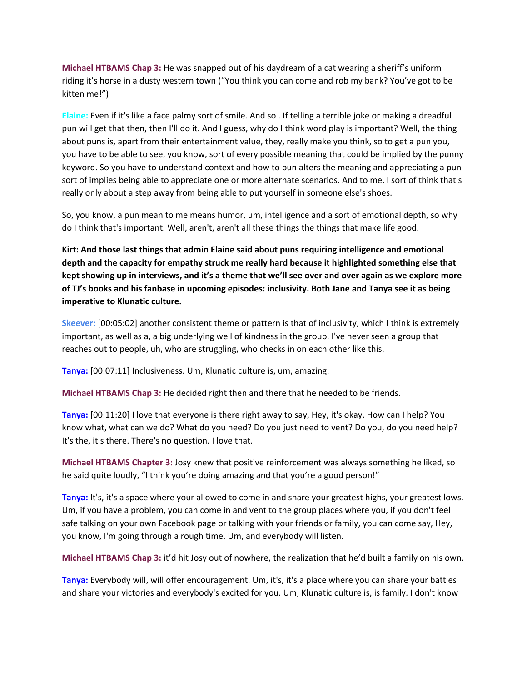**Michael HTBAMS Chap 3:** He was snapped out of his daydream of a cat wearing a sheriff's uniform riding it's horse in a dusty western town ("You think you can come and rob my bank? You've got to be kitten me!")

**Elaine:** Even if it's like a face palmy sort of smile. And so . If telling a terrible joke or making a dreadful pun will get that then, then I'll do it. And I guess, why do I think word play is important? Well, the thing about puns is, apart from their entertainment value, they, really make you think, so to get a pun you, you have to be able to see, you know, sort of every possible meaning that could be implied by the punny keyword. So you have to understand context and how to pun alters the meaning and appreciating a pun sort of implies being able to appreciate one or more alternate scenarios. And to me, I sort of think that's really only about a step away from being able to put yourself in someone else's shoes.

So, you know, a pun mean to me means humor, um, intelligence and a sort of emotional depth, so why do I think that's important. Well, aren't, aren't all these things the things that make life good.

**Kirt: And those last things that admin Elaine said about puns requiring intelligence and emotional depth and the capacity for empathy struck me really hard because it highlighted something else that** kept showing up in interviews, and it's a theme that we'll see over and over again as we explore more of TJ's books and his fanbase in upcoming episodes: inclusivity. Both Jane and Tanya see it as being **imperative to Klunatic culture.**

**Skeever:** [00:05:02] another consistent theme or pattern is that of inclusivity, which I think is extremely important, as well as a, a big underlying well of kindness in the group. I've never seen a group that reaches out to people, uh, who are struggling, who checks in on each other like this.

**Tanya:** [00:07:11] Inclusiveness. Um, Klunatic culture is, um, amazing.

**Michael HTBAMS Chap 3:** He decided right then and there that he needed to be friends.

**Tanya:** [00:11:20] I love that everyone is there right away to say, Hey, it's okay. How can I help? You know what, what can we do? What do you need? Do you just need to vent? Do you, do you need help? It's the, it's there. There's no question. I love that.

**Michael HTBAMS Chapter 3:** Josy knew that positive reinforcement was always something he liked, so he said quite loudly, "I think you're doing amazing and that you're a good person!"

**Tanya:** It's, it's a space where your allowed to come in and share your greatest highs, your greatest lows. Um, if you have a problem, you can come in and vent to the group places where you, if you don't feel safe talking on your own Facebook page or talking with your friends or family, you can come say, Hey, you know, I'm going through a rough time. Um, and everybody will listen.

**Michael HTBAMS Chap 3:** it'd hit Josy out of nowhere, the realization that he'd built a family on his own.

**Tanya:** Everybody will, will offer encouragement. Um, it's, it's a place where you can share your battles and share your victories and everybody's excited for you. Um, Klunatic culture is, is family. I don't know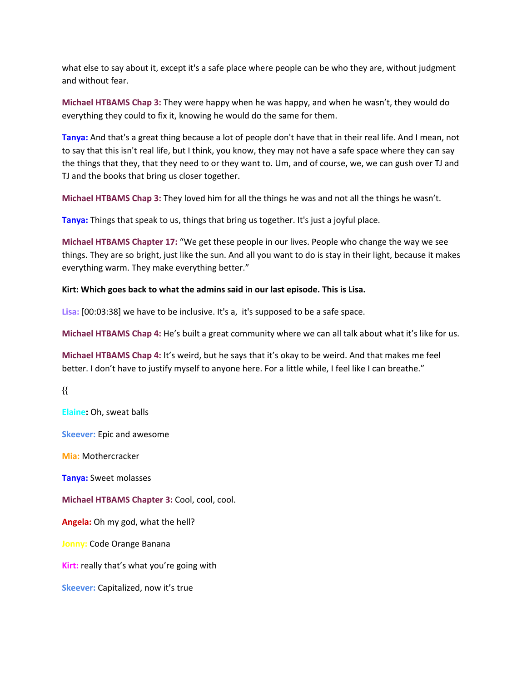what else to say about it, except it's a safe place where people can be who they are, without judgment and without fear.

**Michael HTBAMS Chap 3:** They were happy when he was happy, and when he wasn't, they would do everything they could to fix it, knowing he would do the same for them.

**Tanya:** And that's a great thing because a lot of people don't have that in their real life. And I mean, not to say that this isn't real life, but I think, you know, they may not have a safe space where they can say the things that they, that they need to or they want to. Um, and of course, we, we can gush over TJ and TJ and the books that bring us closer together.

**Michael HTBAMS Chap 3:** They loved him for all the things he was and not all the things he wasn't.

**Tanya:** Things that speak to us, things that bring us together. It's just a joyful place.

**Michael HTBAMS Chapter 17:** "We get these people in our lives. People who change the way we see things. They are so bright, just like the sun. And all you want to do is stay in their light, because it makes everything warm. They make everything better."

#### **Kirt: Which goes back to what the admins said in our last episode. This is Lisa.**

**Lisa:** [00:03:38] we have to be inclusive. It's a, it's supposed to be a safe space.

**Michael HTBAMS Chap 4:** He's built a great community where we can all talk about what it's like for us.

**Michael HTBAMS Chap 4:** It's weird, but he says that it's okay to be weird. And that makes me feel better. I don't have to justify myself to anyone here. For a little while, I feel like I can breathe."

{{

**Elaine:** Oh, sweat balls

**Skeever:** Epic and awesome

**Mia:** Mothercracker

**Tanya:** Sweet molasses

**Michael HTBAMS Chapter 3:** Cool, cool, cool.

**Angela:** Oh my god, what the hell?

**Jonny:** Code Orange Banana

**Kirt:** really that's what you're going with

**Skeever:** Capitalized, now it's true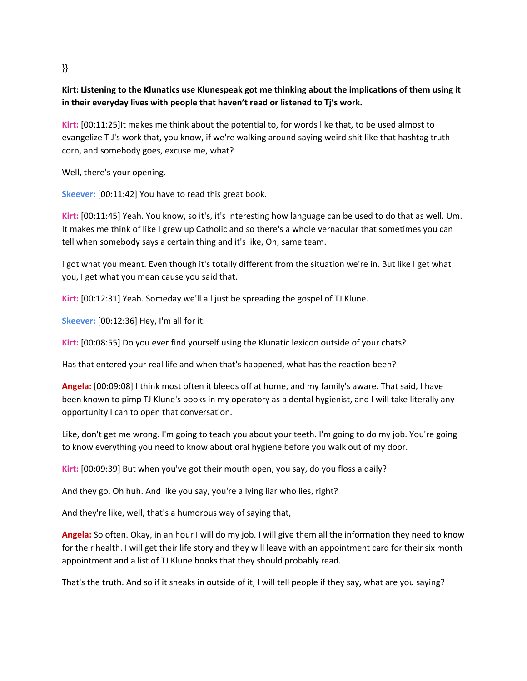#### }}

# **Kirt: Listening to the Klunatics use Klunespeak got me thinking about the implications of them using it in their everyday lives with people that haven't read or listened to Tj's work.**

**Kirt:** [00:11:25]It makes me think about the potential to, for words like that, to be used almost to evangelize T J's work that, you know, if we're walking around saying weird shit like that hashtag truth corn, and somebody goes, excuse me, what?

Well, there's your opening.

**Skeever:** [00:11:42] You have to read this great book.

**Kirt:** [00:11:45] Yeah. You know, so it's, it's interesting how language can be used to do that as well. Um. It makes me think of like I grew up Catholic and so there's a whole vernacular that sometimes you can tell when somebody says a certain thing and it's like, Oh, same team.

I got what you meant. Even though it's totally different from the situation we're in. But like I get what you, I get what you mean cause you said that.

**Kirt:** [00:12:31] Yeah. Someday we'll all just be spreading the gospel of TJ Klune.

**Skeever:** [00:12:36] Hey, I'm all for it.

**Kirt:** [00:08:55] Do you ever find yourself using the Klunatic lexicon outside of your chats?

Has that entered your real life and when that's happened, what has the reaction been?

**Angela:** [00:09:08] I think most often it bleeds off at home, and my family's aware. That said, I have been known to pimp TJ Klune's books in my operatory as a dental hygienist, and I will take literally any opportunity I can to open that conversation.

Like, don't get me wrong. I'm going to teach you about your teeth. I'm going to do my job. You're going to know everything you need to know about oral hygiene before you walk out of my door.

**Kirt:** [00:09:39] But when you've got their mouth open, you say, do you floss a daily?

And they go, Oh huh. And like you say, you're a lying liar who lies, right?

And they're like, well, that's a humorous way of saying that,

**Angela:** So often. Okay, in an hour I will do my job. I will give them all the information they need to know for their health. I will get their life story and they will leave with an appointment card for their six month appointment and a list of TJ Klune books that they should probably read.

That's the truth. And so if it sneaks in outside of it, I will tell people if they say, what are you saying?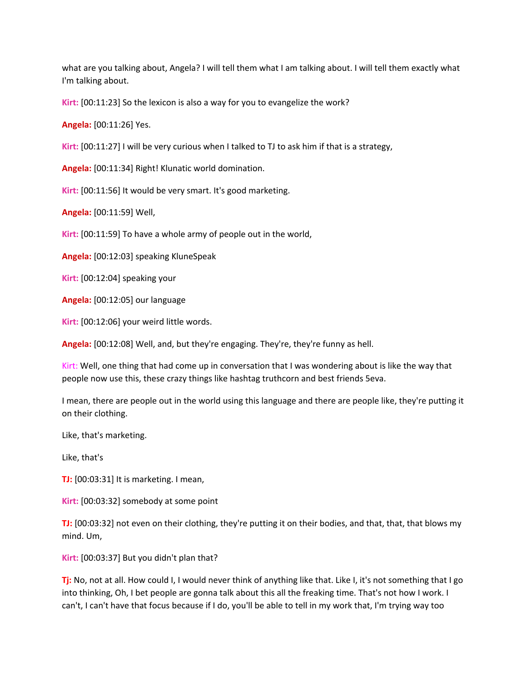what are you talking about, Angela? I will tell them what I am talking about. I will tell them exactly what I'm talking about.

**Kirt:** [00:11:23] So the lexicon is also a way for you to evangelize the work?

**Angela:** [00:11:26] Yes.

**Kirt:** [00:11:27] I will be very curious when I talked to TJ to ask him if that is a strategy,

**Angela:** [00:11:34] Right! Klunatic world domination.

**Kirt:** [00:11:56] It would be very smart. It's good marketing.

**Angela:** [00:11:59] Well,

**Kirt:** [00:11:59] To have a whole army of people out in the world,

**Angela:** [00:12:03] speaking KluneSpeak

**Kirt:** [00:12:04] speaking your

**Angela:** [00:12:05] our language

**Kirt:** [00:12:06] your weird little words.

**Angela:** [00:12:08] Well, and, but they're engaging. They're, they're funny as hell.

Kirt: Well, one thing that had come up in conversation that I was wondering about is like the way that people now use this, these crazy things like hashtag truthcorn and best friends 5eva.

I mean, there are people out in the world using this language and there are people like, they're putting it on their clothing.

Like, that's marketing.

Like, that's

**TJ:** [00:03:31] It is marketing. I mean,

**Kirt:** [00:03:32] somebody at some point

**TJ:** [00:03:32] not even on their clothing, they're putting it on their bodies, and that, that, that blows my mind. Um,

**Kirt:** [00:03:37] But you didn't plan that?

**Tj:** No, not at all. How could I, I would never think of anything like that. Like I, it's not something that I go into thinking, Oh, I bet people are gonna talk about this all the freaking time. That's not how I work. I can't, I can't have that focus because if I do, you'll be able to tell in my work that, I'm trying way too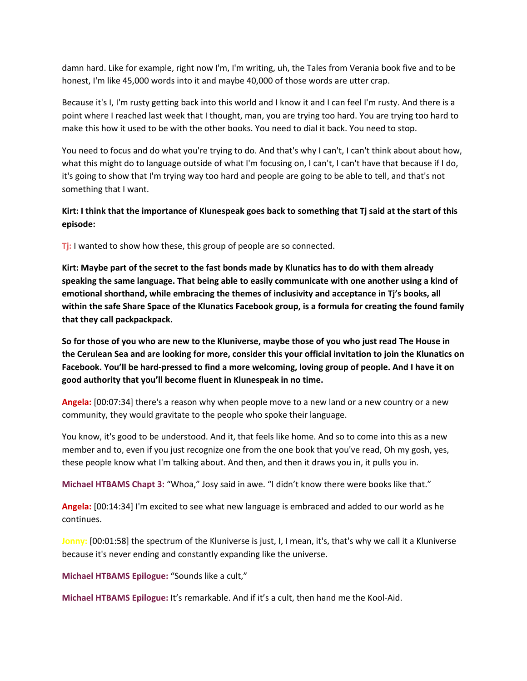damn hard. Like for example, right now I'm, I'm writing, uh, the Tales from Verania book five and to be honest, I'm like 45,000 words into it and maybe 40,000 of those words are utter crap.

Because it's I, I'm rusty getting back into this world and I know it and I can feel I'm rusty. And there is a point where I reached last week that I thought, man, you are trying too hard. You are trying too hard to make this how it used to be with the other books. You need to dial it back. You need to stop.

You need to focus and do what you're trying to do. And that's why I can't, I can't think about about how, what this might do to language outside of what I'm focusing on, I can't, I can't have that because if I do, it's going to show that I'm trying way too hard and people are going to be able to tell, and that's not something that I want.

# Kirt: I think that the importance of Klunespeak goes back to something that Tj said at the start of this **episode:**

**Tj:** I wanted to show how these, this group of people are so connected.

Kirt: Maybe part of the secret to the fast bonds made by Klunatics has to do with them already **speaking the same language. That being able to easily communicate with one another using a kind of emotional shorthand, while embracing the themes of inclusivity and acceptance in Tj's books, all** within the safe Share Space of the Klunatics Facebook group, is a formula for creating the found family **that they call packpackpack.**

So for those of you who are new to the Kluniverse, maybe those of you who just read The House in the Cerulean Sea and are looking for more, consider this your official invitation to join the Klunatics on Facebook. You'll be hard-pressed to find a more welcoming, loving group of people. And I have it on **good authority that you'll become fluent in Klunespeak in no time.**

**Angela:** [00:07:34] there's a reason why when people move to a new land or a new country or a new community, they would gravitate to the people who spoke their language.

You know, it's good to be understood. And it, that feels like home. And so to come into this as a new member and to, even if you just recognize one from the one book that you've read, Oh my gosh, yes, these people know what I'm talking about. And then, and then it draws you in, it pulls you in.

**Michael HTBAMS Chapt 3:** "Whoa," Josy said in awe. "I didn't know there were books like that."

**Angela:** [00:14:34] I'm excited to see what new language is embraced and added to our world as he continues.

**Jonny:** [00:01:58] the spectrum of the Kluniverse is just, I, I mean, it's, that's why we call it a Kluniverse because it's never ending and constantly expanding like the universe.

**Michael HTBAMS Epilogue:** "Sounds like a cult,"

**Michael HTBAMS Epilogue:** It's remarkable. And if it's a cult, then hand me the Kool-Aid.